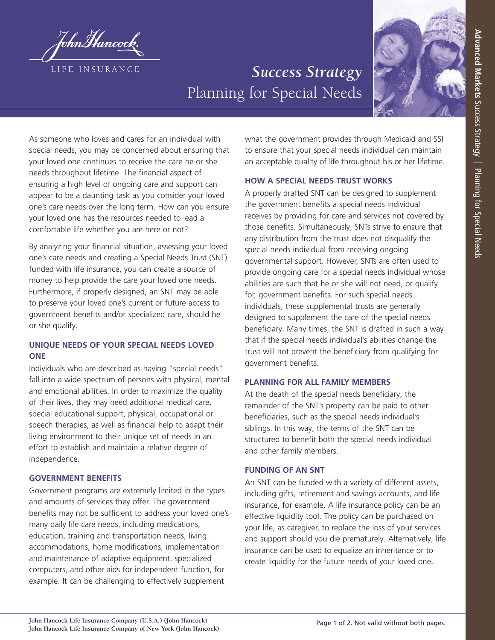

# *Success Strategy* Planning for Special Needs



As someone who loves and cares for an individual with special needs, you may be concerned about ensuring that your loved one continues to receive the care he or she needs throughout lifetime. The financial aspect of ensuring a high level of ongoing care and support can appear to be a daunting task as you consider your loved one's care needs over the long term. How can you ensure your loved one has the resources needed to lead a comfortable life whether you are here or not?

By analyzing your financial situation, assessing your loved one's care needs and creating a Special Needs Trust (SNT) funded with life insurance, you can create a source of money to help provide the care your loved one needs. Furthermore, if properly designed, an SNT may be able to preserve your loved one's current or future access to government benefits and/or specialized care, should he or she qualify.

# **UNIQUE NEEDS OF YOUR SPECIAL NEEDS LOVED ONE**

Individuals who are described as having "special needs" fall into a wide spectrum of persons with physical, mental and emotional abilities. In order to maximize the quality of their lives, they may need additional medical care, special educational support, physical, occupational or speech therapies, as well as financial help to adapt their living environment to their unique set of needs in an effort to establish and maintain a relative degree of independence.

## **GOVERNMENT BENEFITS**

Government programs are extremely limited in the types and amounts of services they offer. The government benefits may not be sufficient to address your loved one's many daily life care needs, including medications, education, training and transportation needs, living accommodations, home modifications, implementation and maintenance of adaptive equipment, specialized computers, and other aids for independent function, for example. It can be challenging to effectively supplement

what the government provides through Medicaid and SSI to ensure that your special needs individual can maintain an acceptable quality of life throughout his or her lifetime.

#### **HOW A SPECIAL NEEDS TRUST WORKS**

A properly drafted SNT can be designed to supplement the government benefits a special needs individual receives by providing for care and services not covered by those benefits. Simultaneously, SNTs strive to ensure that any distribution from the trust does not disqualify the special needs individual from receiving ongoing governmental support. However, SNTs are often used to provide ongoing care for a special needs individual whose abilities are such that he or she will not need, or qualify for, government benefits. For such special needs individuals, these supplemental trusts are generally designed to supplement the care of the special needs beneficiary. Many times, the SNT is drafted in such a way that if the special needs individual's abilities change the trust will not prevent the beneficiary from qualifying for government benefits.

#### **PLANNING FOR ALL FAMILY MEMBERS**

At the death of the special needs beneficiary, the remainder of the SNT's property can be paid to other beneficiaries, such as the special needs individual's siblings. In this way, the terms of the SNT can be structured to benefit both the special needs individual and other family members.

#### **FUNDING OF AN SNT**

An SNT can be funded with a variety of different assets, including gifts, retirement and savings accounts, and life insurance, for example. A life insurance policy can be an effective liquidity tool. The policy can be purchased on your life, as caregiver, to replace the loss of your services and support should you die prematurely. Alternatively, life insurance can be used to equalize an inheritance or to create liquidity for the future needs of your loved one.